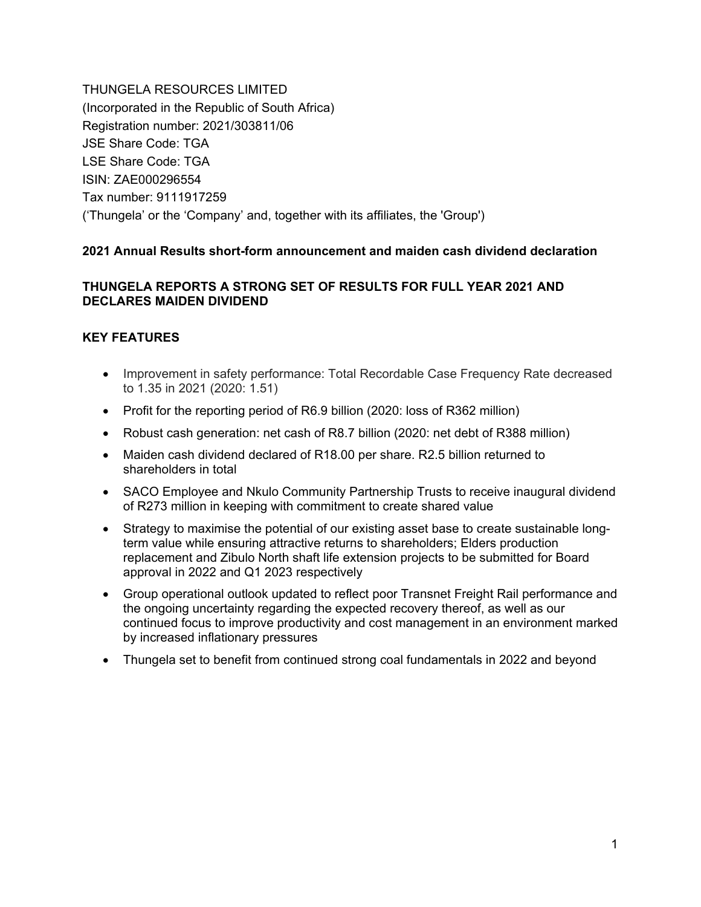THUNGELA RESOURCES LIMITED (Incorporated in the Republic of South Africa) Registration number: 2021/303811/06 JSE Share Code: TGA LSE Share Code: TGA ISIN: ZAE000296554 Tax number: 9111917259 ('Thungela' or the 'Company' and, together with its affiliates, the 'Group')

# **2021 Annual Results short-form announcement and maiden cash dividend declaration**

# **THUNGELA REPORTS A STRONG SET OF RESULTS FOR FULL YEAR 2021 AND DECLARES MAIDEN DIVIDEND**

# **KEY FEATURES**

- Improvement in safety performance: Total Recordable Case Frequency Rate decreased to 1.35 in 2021 (2020: 1.51)
- Profit for the reporting period of R6.9 billion (2020: loss of R362 million)
- Robust cash generation: net cash of R8.7 billion (2020: net debt of R388 million)
- Maiden cash dividend declared of R18.00 per share. R2.5 billion returned to shareholders in total
- SACO Employee and Nkulo Community Partnership Trusts to receive inaugural dividend of R273 million in keeping with commitment to create shared value
- Strategy to maximise the potential of our existing asset base to create sustainable longterm value while ensuring attractive returns to shareholders; Elders production replacement and Zibulo North shaft life extension projects to be submitted for Board approval in 2022 and Q1 2023 respectively
- Group operational outlook updated to reflect poor Transnet Freight Rail performance and the ongoing uncertainty regarding the expected recovery thereof, as well as our continued focus to improve productivity and cost management in an environment marked by increased inflationary pressures
- Thungela set to benefit from continued strong coal fundamentals in 2022 and beyond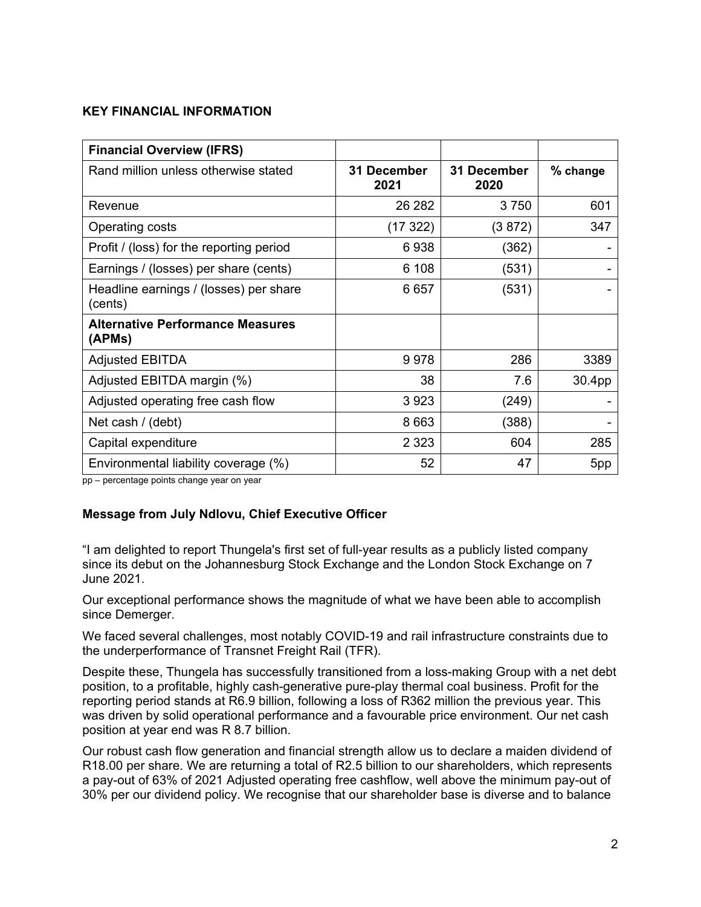#### **KEY FINANCIAL INFORMATION**

| <b>Financial Overview (IFRS)</b>                  |                     |                     |          |
|---------------------------------------------------|---------------------|---------------------|----------|
| Rand million unless otherwise stated              | 31 December<br>2021 | 31 December<br>2020 | % change |
| Revenue                                           | 26 28 2             | 3750                | 601      |
| Operating costs                                   | (17322)             | (3 872)             | 347      |
| Profit / (loss) for the reporting period          | 6938                | (362)               |          |
| Earnings / (losses) per share (cents)             | 6 108               | (531)               |          |
| Headline earnings / (losses) per share<br>(cents) | 6657                | (531)               |          |
| <b>Alternative Performance Measures</b><br>(APMs) |                     |                     |          |
| <b>Adjusted EBITDA</b>                            | 9978                | 286                 | 3389     |
| Adjusted EBITDA margin (%)                        | 38                  | 7.6                 | 30.4pp   |
| Adjusted operating free cash flow                 | 3923                | (249)               |          |
| Net cash / (debt)                                 | 8 6 6 3             | (388)               |          |
| Capital expenditure                               | 2 3 2 3             | 604                 | 285      |
| Environmental liability coverage (%)              | 52                  | 47                  | 5pp      |

pp – percentage points change year on year

# **Message from July Ndlovu, Chief Executive Officer**

"I am delighted to report Thungela's first set of full-year results as a publicly listed company since its debut on the Johannesburg Stock Exchange and the London Stock Exchange on 7 June 2021.

Our exceptional performance shows the magnitude of what we have been able to accomplish since Demerger.

We faced several challenges, most notably COVID-19 and rail infrastructure constraints due to the underperformance of Transnet Freight Rail (TFR).

Despite these, Thungela has successfully transitioned from a loss-making Group with a net debt position, to a profitable, highly cash-generative pure-play thermal coal business. Profit for the reporting period stands at R6.9 billion, following a loss of R362 million the previous year. This was driven by solid operational performance and a favourable price environment. Our net cash position at year end was R 8.7 billion.

Our robust cash flow generation and financial strength allow us to declare a maiden dividend of R18.00 per share. We are returning a total of R2.5 billion to our shareholders, which represents a pay-out of 63% of 2021 Adjusted operating free cashflow, well above the minimum pay-out of 30% per our dividend policy. We recognise that our shareholder base is diverse and to balance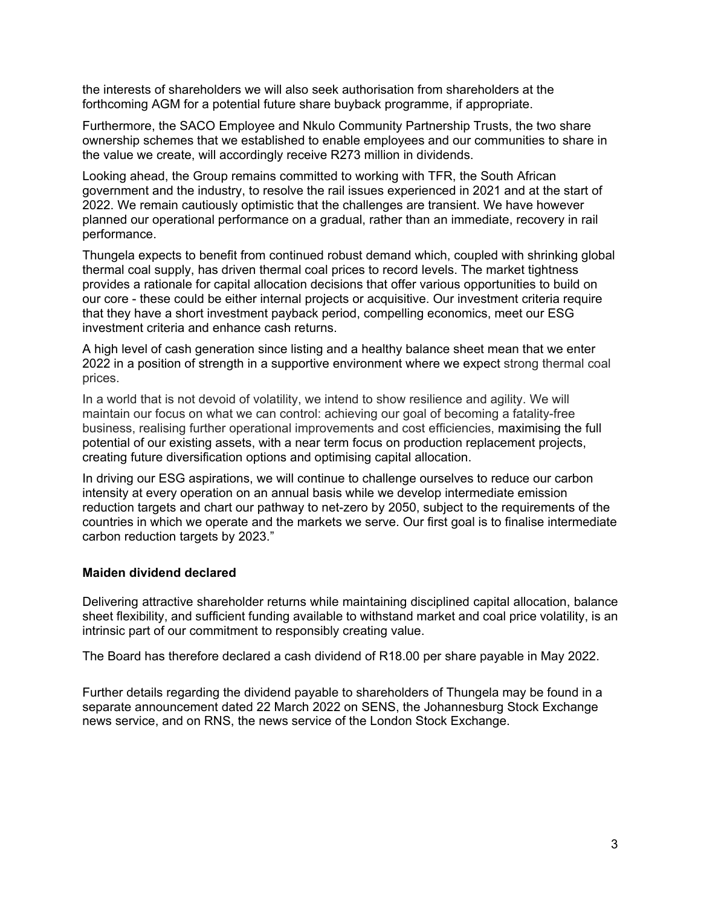the interests of shareholders we will also seek authorisation from shareholders at the forthcoming AGM for a potential future share buyback programme, if appropriate.

Furthermore, the SACO Employee and Nkulo Community Partnership Trusts, the two share ownership schemes that we established to enable employees and our communities to share in the value we create, will accordingly receive R273 million in dividends.

Looking ahead, the Group remains committed to working with TFR, the South African government and the industry, to resolve the rail issues experienced in 2021 and at the start of 2022. We remain cautiously optimistic that the challenges are transient. We have however planned our operational performance on a gradual, rather than an immediate, recovery in rail performance.

Thungela expects to benefit from continued robust demand which, coupled with shrinking global thermal coal supply, has driven thermal coal prices to record levels. The market tightness provides a rationale for capital allocation decisions that offer various opportunities to build on our core - these could be either internal projects or acquisitive. Our investment criteria require that they have a short investment payback period, compelling economics, meet our ESG investment criteria and enhance cash returns.

A high level of cash generation since listing and a healthy balance sheet mean that we enter 2022 in a position of strength in a supportive environment where we expect strong thermal coal prices.

In a world that is not devoid of volatility, we intend to show resilience and agility. We will maintain our focus on what we can control: achieving our goal of becoming a fatality-free business, realising further operational improvements and cost efficiencies, maximising the full potential of our existing assets, with a near term focus on production replacement projects, creating future diversification options and optimising capital allocation.

In driving our ESG aspirations, we will continue to challenge ourselves to reduce our carbon intensity at every operation on an annual basis while we develop intermediate emission reduction targets and chart our pathway to net-zero by 2050, subject to the requirements of the countries in which we operate and the markets we serve. Our first goal is to finalise intermediate carbon reduction targets by 2023."

# **Maiden dividend declared**

Delivering attractive shareholder returns while maintaining disciplined capital allocation, balance sheet flexibility, and sufficient funding available to withstand market and coal price volatility, is an intrinsic part of our commitment to responsibly creating value.

The Board has therefore declared a cash dividend of R18.00 per share payable in May 2022.

Further details regarding the dividend payable to shareholders of Thungela may be found in a separate announcement dated 22 March 2022 on SENS, the Johannesburg Stock Exchange news service, and on RNS, the news service of the London Stock Exchange.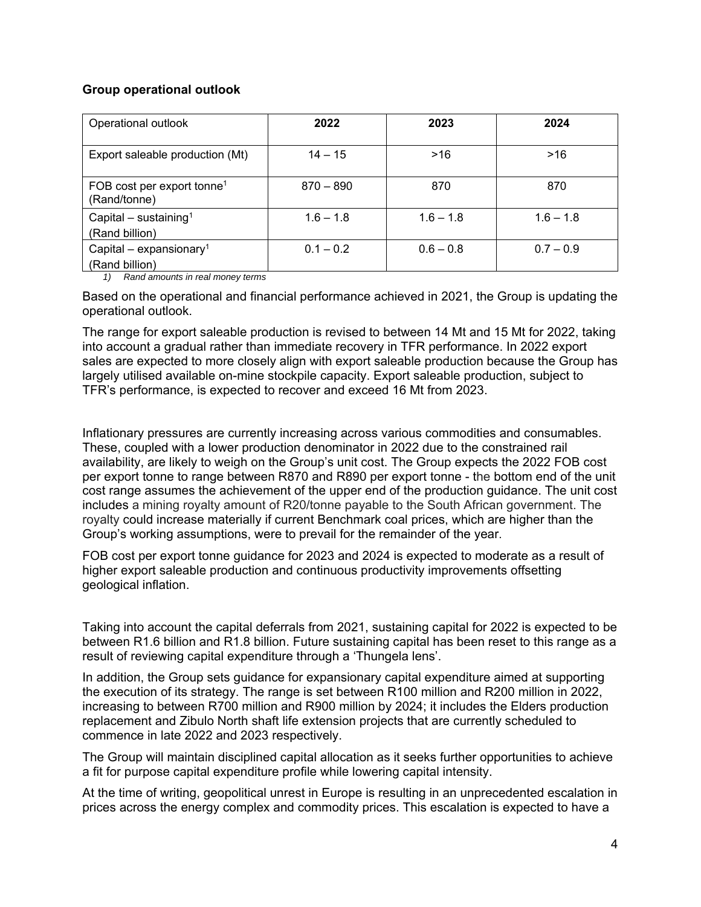# **Group operational outlook**

| Operational outlook                                    | 2022        | 2023        | 2024        |
|--------------------------------------------------------|-------------|-------------|-------------|
| Export saleable production (Mt)                        | $14 - 15$   | >16         | >16         |
| FOB cost per export tonne <sup>1</sup><br>(Rand/tonne) | $870 - 890$ | 870         | 870         |
| Capital – sustaining <sup>1</sup><br>(Rand billion)    | $1.6 - 1.8$ | $1.6 - 1.8$ | $1.6 - 1.8$ |
| Capital – expansionary <sup>1</sup><br>(Rand billion)  | $0.1 - 0.2$ | $0.6 - 0.8$ | $0.7 - 0.9$ |

*1) Rand amounts in real money terms* 

Based on the operational and financial performance achieved in 2021, the Group is updating the operational outlook.

The range for export saleable production is revised to between 14 Mt and 15 Mt for 2022, taking into account a gradual rather than immediate recovery in TFR performance. In 2022 export sales are expected to more closely align with export saleable production because the Group has largely utilised available on-mine stockpile capacity. Export saleable production, subject to TFR's performance, is expected to recover and exceed 16 Mt from 2023.

Inflationary pressures are currently increasing across various commodities and consumables. These, coupled with a lower production denominator in 2022 due to the constrained rail availability, are likely to weigh on the Group's unit cost. The Group expects the 2022 FOB cost per export tonne to range between R870 and R890 per export tonne - the bottom end of the unit cost range assumes the achievement of the upper end of the production guidance. The unit cost includes a mining royalty amount of R20/tonne payable to the South African government. The royalty could increase materially if current Benchmark coal prices, which are higher than the Group's working assumptions, were to prevail for the remainder of the year.

FOB cost per export tonne guidance for 2023 and 2024 is expected to moderate as a result of higher export saleable production and continuous productivity improvements offsetting geological inflation.

Taking into account the capital deferrals from 2021, sustaining capital for 2022 is expected to be between R1.6 billion and R1.8 billion. Future sustaining capital has been reset to this range as a result of reviewing capital expenditure through a 'Thungela lens'.

In addition, the Group sets guidance for expansionary capital expenditure aimed at supporting the execution of its strategy. The range is set between R100 million and R200 million in 2022, increasing to between R700 million and R900 million by 2024; it includes the Elders production replacement and Zibulo North shaft life extension projects that are currently scheduled to commence in late 2022 and 2023 respectively.

The Group will maintain disciplined capital allocation as it seeks further opportunities to achieve a fit for purpose capital expenditure profile while lowering capital intensity.

At the time of writing, geopolitical unrest in Europe is resulting in an unprecedented escalation in prices across the energy complex and commodity prices. This escalation is expected to have a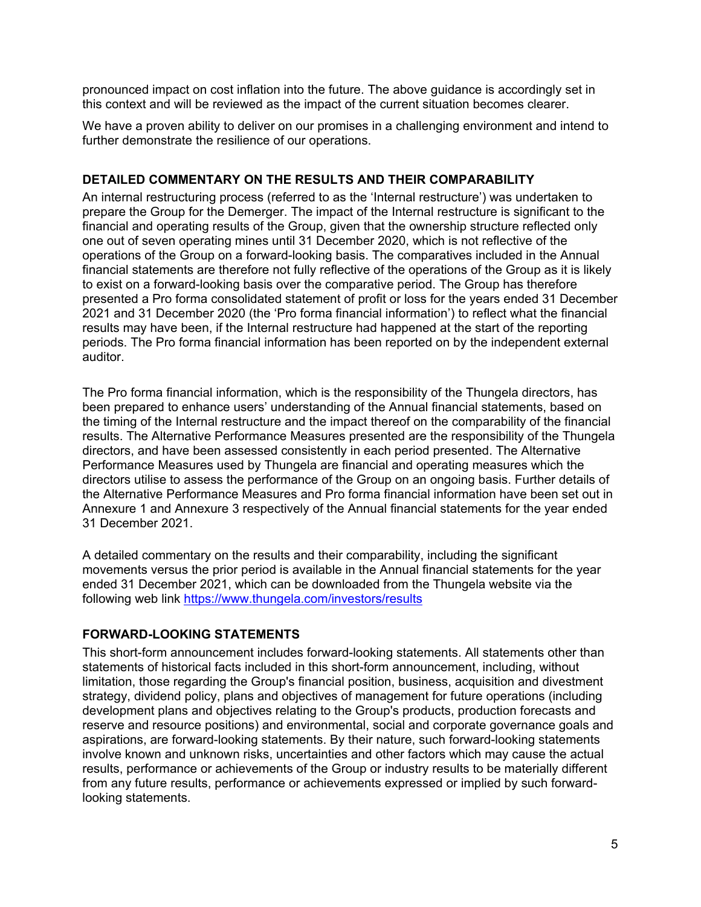pronounced impact on cost inflation into the future. The above guidance is accordingly set in this context and will be reviewed as the impact of the current situation becomes clearer.

We have a proven ability to deliver on our promises in a challenging environment and intend to further demonstrate the resilience of our operations.

# **DETAILED COMMENTARY ON THE RESULTS AND THEIR COMPARABILITY**

An internal restructuring process (referred to as the 'Internal restructure') was undertaken to prepare the Group for the Demerger. The impact of the Internal restructure is significant to the financial and operating results of the Group, given that the ownership structure reflected only one out of seven operating mines until 31 December 2020, which is not reflective of the operations of the Group on a forward-looking basis. The comparatives included in the Annual financial statements are therefore not fully reflective of the operations of the Group as it is likely to exist on a forward-looking basis over the comparative period. The Group has therefore presented a Pro forma consolidated statement of profit or loss for the years ended 31 December 2021 and 31 December 2020 (the 'Pro forma financial information') to reflect what the financial results may have been, if the Internal restructure had happened at the start of the reporting periods. The Pro forma financial information has been reported on by the independent external auditor.

The Pro forma financial information, which is the responsibility of the Thungela directors, has been prepared to enhance users' understanding of the Annual financial statements, based on the timing of the Internal restructure and the impact thereof on the comparability of the financial results. The Alternative Performance Measures presented are the responsibility of the Thungela directors, and have been assessed consistently in each period presented. The Alternative Performance Measures used by Thungela are financial and operating measures which the directors utilise to assess the performance of the Group on an ongoing basis. Further details of the Alternative Performance Measures and Pro forma financial information have been set out in Annexure 1 and Annexure 3 respectively of the Annual financial statements for the year ended 31 December 2021.

A detailed commentary on the results and their comparability, including the significant movements versus the prior period is available in the Annual financial statements for the year ended 31 December 2021, which can be downloaded from the Thungela website via the following web link https://www.thungela.com/investors/results

# **FORWARD-LOOKING STATEMENTS**

This short-form announcement includes forward-looking statements. All statements other than statements of historical facts included in this short-form announcement, including, without limitation, those regarding the Group's financial position, business, acquisition and divestment strategy, dividend policy, plans and objectives of management for future operations (including development plans and objectives relating to the Group's products, production forecasts and reserve and resource positions) and environmental, social and corporate governance goals and aspirations, are forward-looking statements. By their nature, such forward-looking statements involve known and unknown risks, uncertainties and other factors which may cause the actual results, performance or achievements of the Group or industry results to be materially different from any future results, performance or achievements expressed or implied by such forwardlooking statements.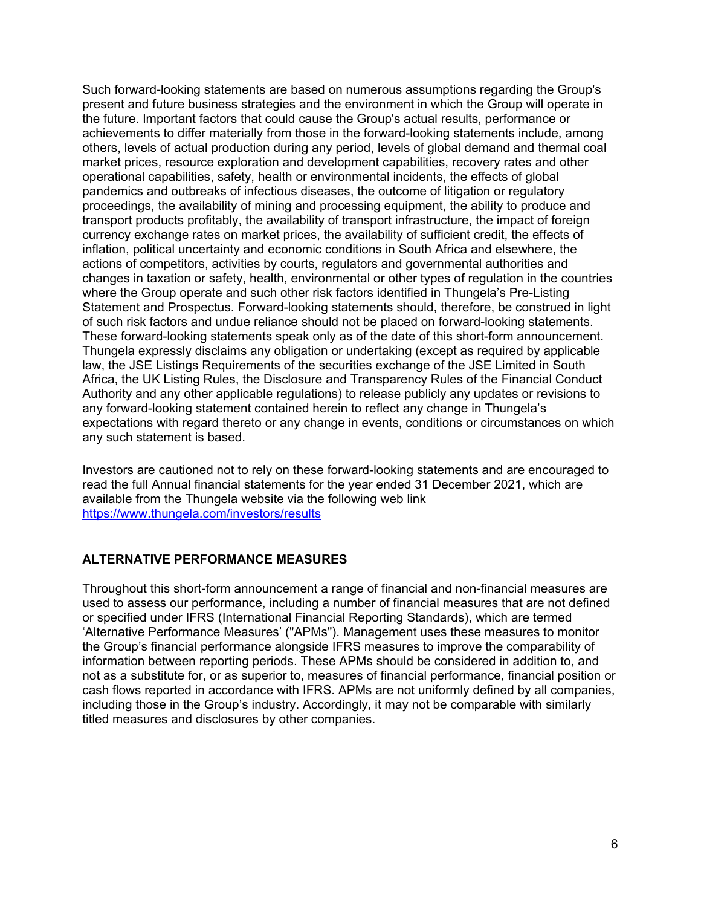Such forward-looking statements are based on numerous assumptions regarding the Group's present and future business strategies and the environment in which the Group will operate in the future. Important factors that could cause the Group's actual results, performance or achievements to differ materially from those in the forward-looking statements include, among others, levels of actual production during any period, levels of global demand and thermal coal market prices, resource exploration and development capabilities, recovery rates and other operational capabilities, safety, health or environmental incidents, the effects of global pandemics and outbreaks of infectious diseases, the outcome of litigation or regulatory proceedings, the availability of mining and processing equipment, the ability to produce and transport products profitably, the availability of transport infrastructure, the impact of foreign currency exchange rates on market prices, the availability of sufficient credit, the effects of inflation, political uncertainty and economic conditions in South Africa and elsewhere, the actions of competitors, activities by courts, regulators and governmental authorities and changes in taxation or safety, health, environmental or other types of regulation in the countries where the Group operate and such other risk factors identified in Thungela's Pre-Listing Statement and Prospectus. Forward-looking statements should, therefore, be construed in light of such risk factors and undue reliance should not be placed on forward-looking statements. These forward-looking statements speak only as of the date of this short-form announcement. Thungela expressly disclaims any obligation or undertaking (except as required by applicable law, the JSE Listings Requirements of the securities exchange of the JSE Limited in South Africa, the UK Listing Rules, the Disclosure and Transparency Rules of the Financial Conduct Authority and any other applicable regulations) to release publicly any updates or revisions to any forward-looking statement contained herein to reflect any change in Thungela's expectations with regard thereto or any change in events, conditions or circumstances on which any such statement is based.

Investors are cautioned not to rely on these forward-looking statements and are encouraged to read the full Annual financial statements for the year ended 31 December 2021, which are available from the Thungela website via the following web link https://www.thungela.com/investors/results

# **ALTERNATIVE PERFORMANCE MEASURES**

Throughout this short-form announcement a range of financial and non-financial measures are used to assess our performance, including a number of financial measures that are not defined or specified under IFRS (International Financial Reporting Standards), which are termed 'Alternative Performance Measures' ("APMs"). Management uses these measures to monitor the Group's financial performance alongside IFRS measures to improve the comparability of information between reporting periods. These APMs should be considered in addition to, and not as a substitute for, or as superior to, measures of financial performance, financial position or cash flows reported in accordance with IFRS. APMs are not uniformly defined by all companies, including those in the Group's industry. Accordingly, it may not be comparable with similarly titled measures and disclosures by other companies.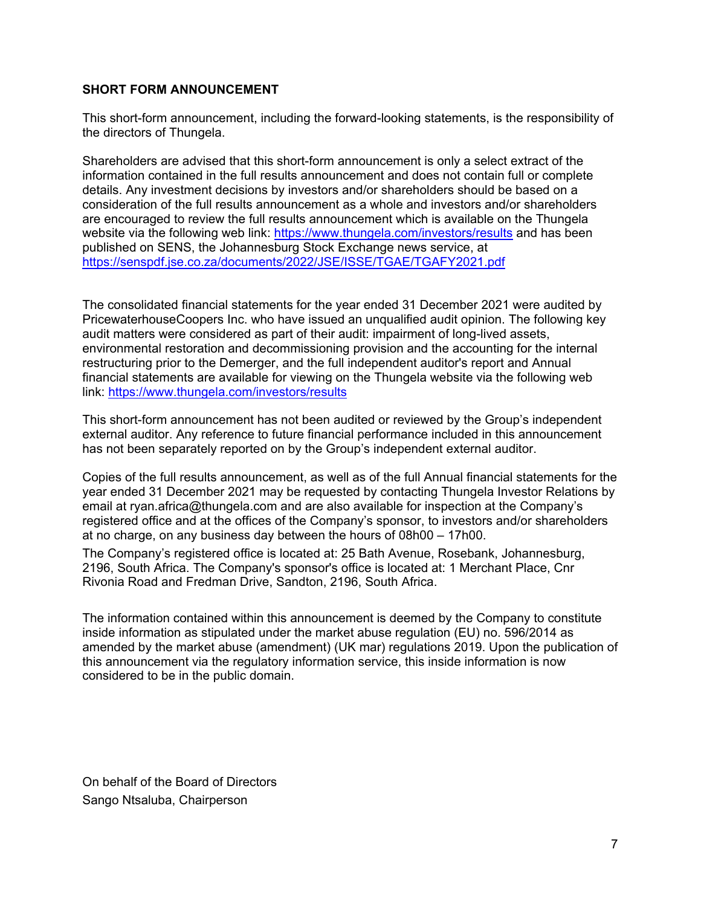# **SHORT FORM ANNOUNCEMENT**

This short-form announcement, including the forward-looking statements, is the responsibility of the directors of Thungela.

Shareholders are advised that this short-form announcement is only a select extract of the information contained in the full results announcement and does not contain full or complete details. Any investment decisions by investors and/or shareholders should be based on a consideration of the full results announcement as a whole and investors and/or shareholders are encouraged to review the full results announcement which is available on the Thungela website via the following web link: https://www.thungela.com/investors/results and has been published on SENS, the Johannesburg Stock Exchange news service, at https://senspdf.jse.co.za/documents/2022/JSE/ISSE/TGAE/TGAFY2021.pdf

The consolidated financial statements for the year ended 31 December 2021 were audited by PricewaterhouseCoopers Inc. who have issued an unqualified audit opinion. The following key audit matters were considered as part of their audit: impairment of long-lived assets, environmental restoration and decommissioning provision and the accounting for the internal restructuring prior to the Demerger, and the full independent auditor's report and Annual financial statements are available for viewing on the Thungela website via the following web link: https://www.thungela.com/investors/results

This short-form announcement has not been audited or reviewed by the Group's independent external auditor. Any reference to future financial performance included in this announcement has not been separately reported on by the Group's independent external auditor.

Copies of the full results announcement, as well as of the full Annual financial statements for the year ended 31 December 2021 may be requested by contacting Thungela Investor Relations by email at ryan.africa@thungela.com and are also available for inspection at the Company's registered office and at the offices of the Company's sponsor, to investors and/or shareholders at no charge, on any business day between the hours of 08h00 – 17h00.

The Company's registered office is located at: 25 Bath Avenue, Rosebank, Johannesburg, 2196, South Africa. The Company's sponsor's office is located at: 1 Merchant Place, Cnr Rivonia Road and Fredman Drive, Sandton, 2196, South Africa.

The information contained within this announcement is deemed by the Company to constitute inside information as stipulated under the market abuse regulation (EU) no. 596/2014 as amended by the market abuse (amendment) (UK mar) regulations 2019. Upon the publication of this announcement via the regulatory information service, this inside information is now considered to be in the public domain.

On behalf of the Board of Directors Sango Ntsaluba, Chairperson